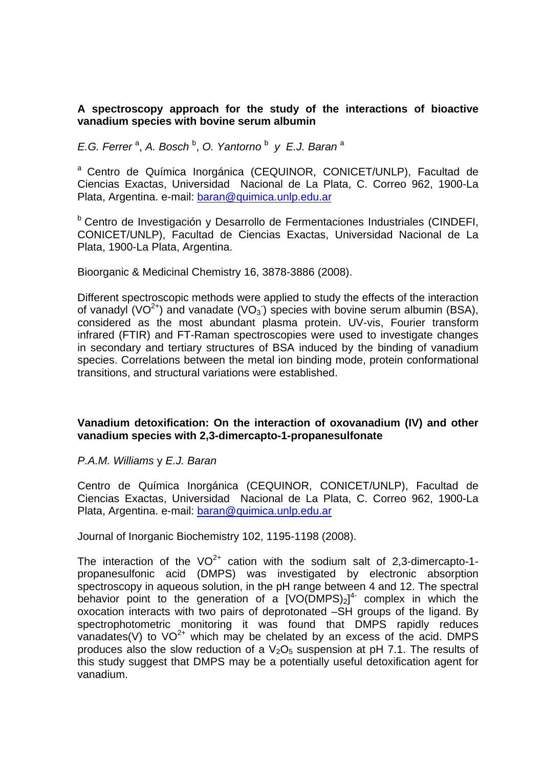# **A spectroscopy approach for the study of the interactions of bioactive vanadium species with bovine serum albumin**

*E.G. Ferrer*<sup>a</sup>, *A. Bosch*<sup>b</sup>, *O. Yantorno*<sup>b</sup> *y E.J. Baran*<sup>a</sup>

<sup>a</sup> Centro de Química Inorgánica (CEQUINOR, CONICET/UNLP), Facultad de Ciencias Exactas, Universidad Nacional de La Plata, C. Correo 962, 1900-La Plata, Argentina. e-mail: baran@quimica.unlp.edu.ar

<sup>b</sup> Centro de Investigación y Desarrollo de Fermentaciones Industriales (CINDEFI, CONICET/UNLP), Facultad de Ciencias Exactas, Universidad Nacional de La Plata, 1900-La Plata, Argentina.

Bioorganic & Medicinal Chemistry 16, 3878-3886 (2008).

Different spectroscopic methods were applied to study the effects of the interaction of vanadyl (VO<sup>2+</sup>) and vanadate (VO<sub>3</sub>) species with bovine serum albumin (BSA), considered as the most abundant plasma protein. UV-vis, Fourier transform infrared (FTIR) and FT-Raman spectroscopies were used to investigate changes in secondary and tertiary structures of BSA induced by the binding of vanadium species. Correlations between the metal ion binding mode, protein conformational transitions, and structural variations were established.

# **Vanadium detoxification: On the interaction of oxovanadium (IV) and other vanadium species with 2,3-dimercapto-1-propanesulfonate**

#### *P.A.M. Williams* y *E.J. Baran*

Centro de Química Inorgánica (CEQUINOR, CONICET/UNLP), Facultad de Ciencias Exactas, Universidad Nacional de La Plata, C. Correo 962, 1900-La Plata, Argentina. e-mail: baran@quimica.unlp.edu.ar

Journal of Inorganic Biochemistry 102, 1195-1198 (2008).

The interaction of the  $VO^{2+}$  cation with the sodium salt of 2,3-dimercapto-1propanesulfonic acid (DMPS) was investigated by electronic absorption spectroscopy in aqueous solution, in the pH range between 4 and 12. The spectral behavior point to the generation of a  $[VO(\overline{DMPS})_2]^4$  complex in which the oxocation interacts with two pairs of deprotonated –SH groups of the ligand. By spectrophotometric monitoring it was found that DMPS rapidly reduces vanadates(V) to  $VO^{2+}$  which may be chelated by an excess of the acid. DMPS produces also the slow reduction of a  $V<sub>2</sub>O<sub>5</sub>$  suspension at pH 7.1. The results of this study suggest that DMPS may be a potentially useful detoxification agent for vanadium.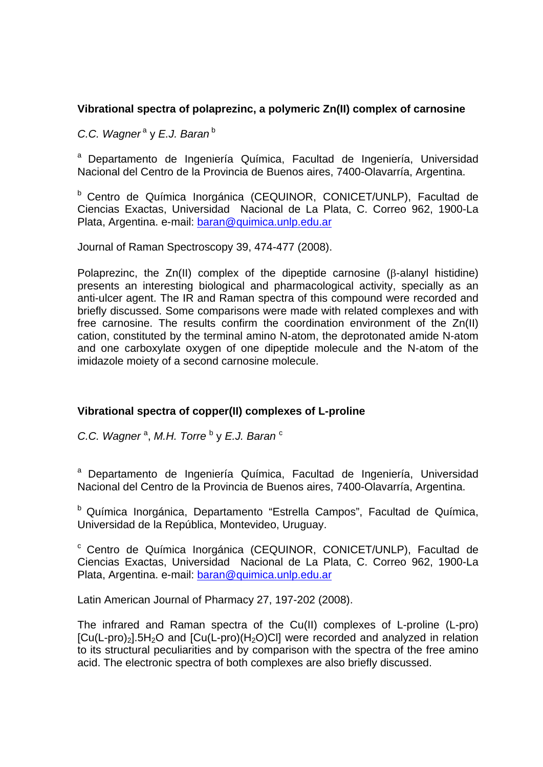# **Vibrational spectra of polaprezinc, a polymeric Zn(II) complex of carnosine**

*C.C. Wagner<sup>a</sup>* y *E.J. Baran*<sup>b</sup>

a Departamento de Ingeniería Química, Facultad de Ingeniería, Universidad Nacional del Centro de la Provincia de Buenos aires, 7400-Olavarría, Argentina.

b Centro de Química Inorgánica (CEQUINOR, CONICET/UNLP), Facultad de Ciencias Exactas, Universidad Nacional de La Plata, C. Correo 962, 1900-La Plata, Argentina. e-mail: baran@quimica.unlp.edu.ar

Journal of Raman Spectroscopy 39, 474-477 (2008).

Polaprezinc, the  $Zn(II)$  complex of the dipeptide carnosine ( $\beta$ -alanyl histidine) presents an interesting biological and pharmacological activity, specially as an anti-ulcer agent. The IR and Raman spectra of this compound were recorded and briefly discussed. Some comparisons were made with related complexes and with free carnosine. The results confirm the coordination environment of the Zn(II) cation, constituted by the terminal amino N-atom, the deprotonated amide N-atom and one carboxylate oxygen of one dipeptide molecule and the N-atom of the imidazole moiety of a second carnosine molecule.

# **Vibrational spectra of copper(II) complexes of L-proline**

C.C. Wagner<sup>a</sup>, M.H. Torre<sup>b</sup> y E.J. Baran<sup>c</sup>

a Departamento de Ingeniería Química, Facultad de Ingeniería, Universidad Nacional del Centro de la Provincia de Buenos aires, 7400-Olavarría, Argentina.

b Química Inorgánica, Departamento "Estrella Campos", Facultad de Química, Universidad de la República, Montevideo, Uruguay.

c Centro de Química Inorgánica (CEQUINOR, CONICET/UNLP), Facultad de Ciencias Exactas, Universidad Nacional de La Plata, C. Correo 962, 1900-La Plata, Argentina. e-mail: baran@quimica.unlp.edu.ar

Latin American Journal of Pharmacy 27, 197-202 (2008).

The infrared and Raman spectra of the Cu(II) complexes of L-proline (L-pro)  $[Cu(L-pro)_2]$ .5H<sub>2</sub>O and  $[Cu(L-pro)(H_2O)Cl]$  were recorded and analyzed in relation to its structural peculiarities and by comparison with the spectra of the free amino acid. The electronic spectra of both complexes are also briefly discussed.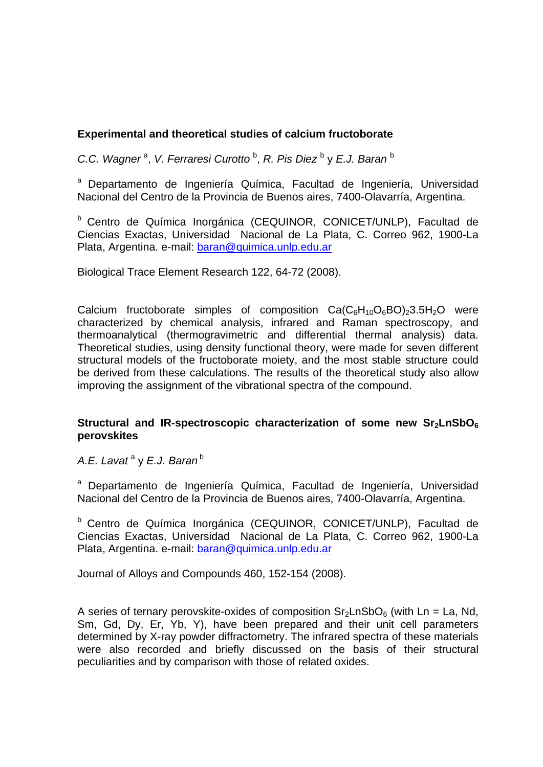# **Experimental and theoretical studies of calcium fructoborate**

C.C. Wagner<sup>a</sup>, V. Ferraresi Curotto<sup>b</sup>, R. Pis Diez<sup>b</sup> y E.J. Baran<sup>b</sup>

a Departamento de Ingeniería Química, Facultad de Ingeniería, Universidad Nacional del Centro de la Provincia de Buenos aires, 7400-Olavarría, Argentina.

<sup>b</sup> Centro de Química Inorgánica (CEQUINOR, CONICET/UNLP), Facultad de Ciencias Exactas, Universidad Nacional de La Plata, C. Correo 962, 1900-La Plata, Argentina. e-mail: baran@quimica.unlp.edu.ar

Biological Trace Element Research 122, 64-72 (2008).

Calcium fructoborate simples of composition  $Ca(C_6H_{10}O_6BO)_23.5H_2O$  were characterized by chemical analysis, infrared and Raman spectroscopy, and thermoanalytical (thermogravimetric and differential thermal analysis) data. Theoretical studies, using density functional theory, were made for seven different structural models of the fructoborate moiety, and the most stable structure could be derived from these calculations. The results of the theoretical study also allow improving the assignment of the vibrational spectra of the compound.

# Structural and IR-spectroscopic characterization of some new Sr<sub>2</sub>LnSbO<sub>6</sub> **perovskites**

*A.E. Lavat* <sup>a</sup> y *E.J. Baran*<sup>b</sup>

a Departamento de Ingeniería Química, Facultad de Ingeniería, Universidad Nacional del Centro de la Provincia de Buenos aires, 7400-Olavarría, Argentina.

b Centro de Química Inorgánica (CEQUINOR, CONICET/UNLP), Facultad de Ciencias Exactas, Universidad Nacional de La Plata, C. Correo 962, 1900-La Plata, Argentina. e-mail: baran@quimica.unlp.edu.ar

Journal of Alloys and Compounds 460, 152-154 (2008).

A series of ternary perovskite-oxides of composition  $Sr<sub>2</sub>LnSbO<sub>6</sub>$  (with Ln = La, Nd, Sm, Gd, Dy, Er, Yb, Y), have been prepared and their unit cell parameters determined by X-ray powder diffractometry. The infrared spectra of these materials were also recorded and briefly discussed on the basis of their structural peculiarities and by comparison with those of related oxides.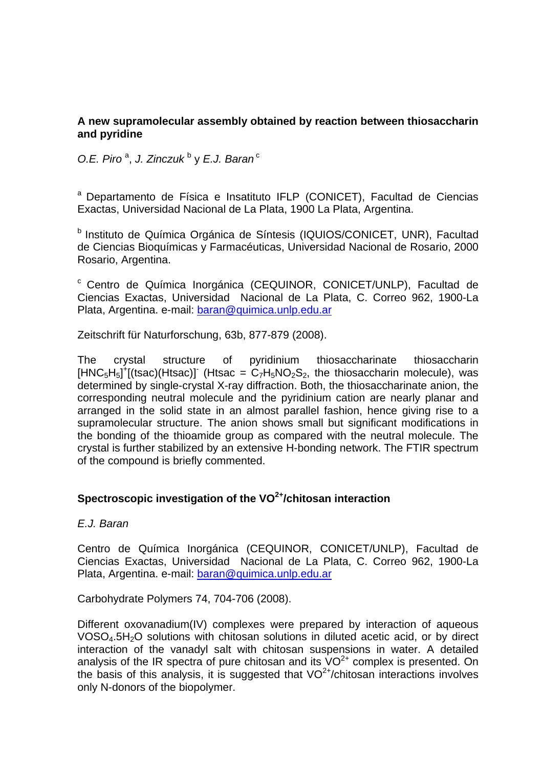# **A new supramolecular assembly obtained by reaction between thiosaccharin and pyridine**

0.E. Piro<sup>a</sup>, J. Zinczuk<sup>b</sup> y E.J. Baran<sup>c</sup>

a Departamento de Física e Insatituto IFLP (CONICET), Facultad de Ciencias Exactas, Universidad Nacional de La Plata, 1900 La Plata, Argentina.

<sup>b</sup> Instituto de Química Orgánica de Síntesis (IQUIOS/CONICET, UNR), Facultad de Ciencias Bioquímicas y Farmacéuticas, Universidad Nacional de Rosario, 2000 Rosario, Argentina.

c Centro de Química Inorgánica (CEQUINOR, CONICET/UNLP), Facultad de Ciencias Exactas, Universidad Nacional de La Plata, C. Correo 962, 1900-La Plata, Argentina. e-mail: baran@quimica.unlp.edu.ar

Zeitschrift für Naturforschung, 63b, 877-879 (2008).

The crystal structure of pyridinium thiosaccharinate thiosaccharin  $[HNC_5H_5]^+$ [(tsac)(Htsac)] (Htsac =  $C_7H_5NO_2S_2$ , the thiosaccharin molecule), was determined by single-crystal X-ray diffraction. Both, the thiosaccharinate anion, the corresponding neutral molecule and the pyridinium cation are nearly planar and arranged in the solid state in an almost parallel fashion, hence giving rise to a supramolecular structure. The anion shows small but significant modifications in the bonding of the thioamide group as compared with the neutral molecule. The crystal is further stabilized by an extensive H-bonding network. The FTIR spectrum of the compound is briefly commented.

# **Spectroscopic investigation of the VO2+/chitosan interaction**

# *E.J. Baran*

Centro de Química Inorgánica (CEQUINOR, CONICET/UNLP), Facultad de Ciencias Exactas, Universidad Nacional de La Plata, C. Correo 962, 1900-La Plata, Argentina. e-mail: baran@quimica.unlp.edu.ar

Carbohydrate Polymers 74, 704-706 (2008).

Different oxovanadium(IV) complexes were prepared by interaction of aqueous VOSO<sub>4</sub>.5H<sub>2</sub>O solutions with chitosan solutions in diluted acetic acid, or by direct interaction of the vanadyl salt with chitosan suspensions in water. A detailed analysis of the IR spectra of pure chitosan and its  $VO<sup>2+</sup>$  complex is presented. On the basis of this analysis, it is suggested that  $VO<sup>2+</sup>/chiosan$  interactions involves only N-donors of the biopolymer.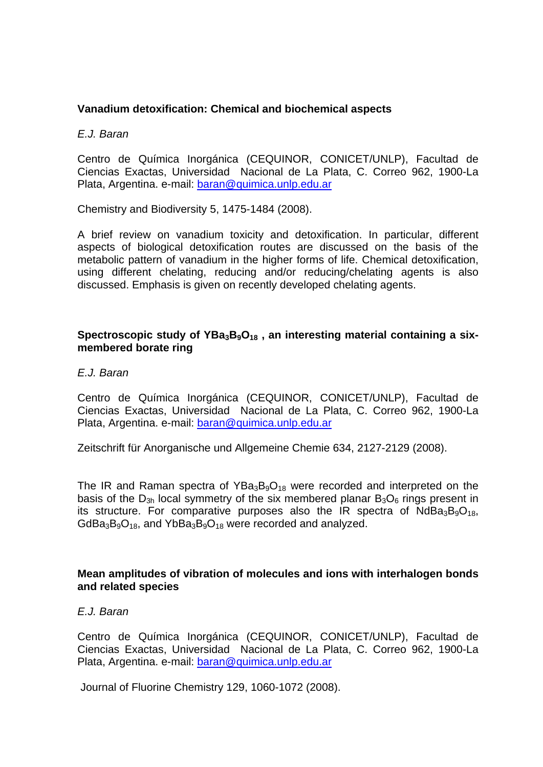# **Vanadium detoxification: Chemical and biochemical aspects**

*E.J. Baran* 

Centro de Química Inorgánica (CEQUINOR, CONICET/UNLP), Facultad de Ciencias Exactas, Universidad Nacional de La Plata, C. Correo 962, 1900-La Plata, Argentina. e-mail: baran@quimica.unlp.edu.ar

Chemistry and Biodiversity 5, 1475-1484 (2008).

A brief review on vanadium toxicity and detoxification. In particular, different aspects of biological detoxification routes are discussed on the basis of the metabolic pattern of vanadium in the higher forms of life. Chemical detoxification, using different chelating, reducing and/or reducing/chelating agents is also discussed. Emphasis is given on recently developed chelating agents.

# Spectroscopic study of YBa<sub>3</sub>B<sub>9</sub>O<sub>18</sub>, an interesting material containing a six**membered borate ring**

*E.J. Baran* 

Centro de Química Inorgánica (CEQUINOR, CONICET/UNLP), Facultad de Ciencias Exactas, Universidad Nacional de La Plata, C. Correo 962, 1900-La Plata, Argentina. e-mail: baran@quimica.unlp.edu.ar

Zeitschrift für Anorganische und Allgemeine Chemie 634, 2127-2129 (2008).

The IR and Raman spectra of  $YBa_3B_9O_{18}$  were recorded and interpreted on the basis of the  $D_{3h}$  local symmetry of the six membered planar  $B_3O_6$  rings present in its structure. For comparative purposes also the IR spectra of  $NdBa_3B_9O_{18}$ ,  $GdBa_3B_9O_{18}$ , and Yb $Ba_3B_9O_{18}$  were recorded and analyzed.

#### **Mean amplitudes of vibration of molecules and ions with interhalogen bonds and related species**

*E.J. Baran* 

Centro de Química Inorgánica (CEQUINOR, CONICET/UNLP), Facultad de Ciencias Exactas, Universidad Nacional de La Plata, C. Correo 962, 1900-La Plata, Argentina. e-mail: baran@quimica.unlp.edu.ar

Journal of Fluorine Chemistry 129, 1060-1072 (2008).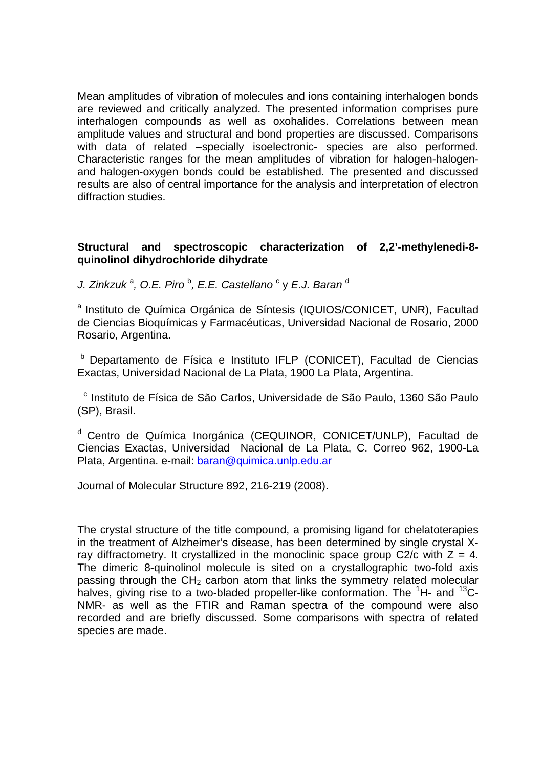Mean amplitudes of vibration of molecules and ions containing interhalogen bonds are reviewed and critically analyzed. The presented information comprises pure interhalogen compounds as well as oxohalides. Correlations between mean amplitude values and structural and bond properties are discussed. Comparisons with data of related –specially isoelectronic- species are also performed. Characteristic ranges for the mean amplitudes of vibration for halogen-halogenand halogen-oxygen bonds could be established. The presented and discussed results are also of central importance for the analysis and interpretation of electron diffraction studies.

# **Structural and spectroscopic characterization of 2,2'-methylenedi-8 quinolinol dihydrochloride dihydrate**

*J. Zinkzuk* <sup>a</sup> *, O.E. Piro* <sup>b</sup> *, E.E. Castellano* <sup>c</sup> y *E.J. Baran* <sup>d</sup>

a Instituto de Química Orgánica de Síntesis (IQUIOS/CONICET, UNR), Facultad de Ciencias Bioquímicas y Farmacéuticas, Universidad Nacional de Rosario, 2000 Rosario, Argentina.

b Departamento de Física e Instituto IFLP (CONICET), Facultad de Ciencias Exactas, Universidad Nacional de La Plata, 1900 La Plata, Argentina.

 c Instituto de Física de São Carlos, Universidade de São Paulo, 1360 São Paulo (SP), Brasil.

<sup>d</sup> Centro de Química Inorgánica (CEQUINOR, CONICET/UNLP), Facultad de Ciencias Exactas, Universidad Nacional de La Plata, C. Correo 962, 1900-La Plata, Argentina. e-mail: baran@quimica.unlp.edu.ar

Journal of Molecular Structure 892, 216-219 (2008).

The crystal structure of the title compound, a promising ligand for chelatoterapies in the treatment of Alzheimer's disease, has been determined by single crystal Xray diffractometry. It crystallized in the monoclinic space group  $C2/c$  with  $Z = 4$ . The dimeric 8-quinolinol molecule is sited on a crystallographic two-fold axis passing through the  $CH<sub>2</sub>$  carbon atom that links the symmetry related molecular halves, giving rise to a two-bladed propeller-like conformation. The  ${}^{1}$ H- and  ${}^{13}$ C-NMR- as well as the FTIR and Raman spectra of the compound were also recorded and are briefly discussed. Some comparisons with spectra of related species are made.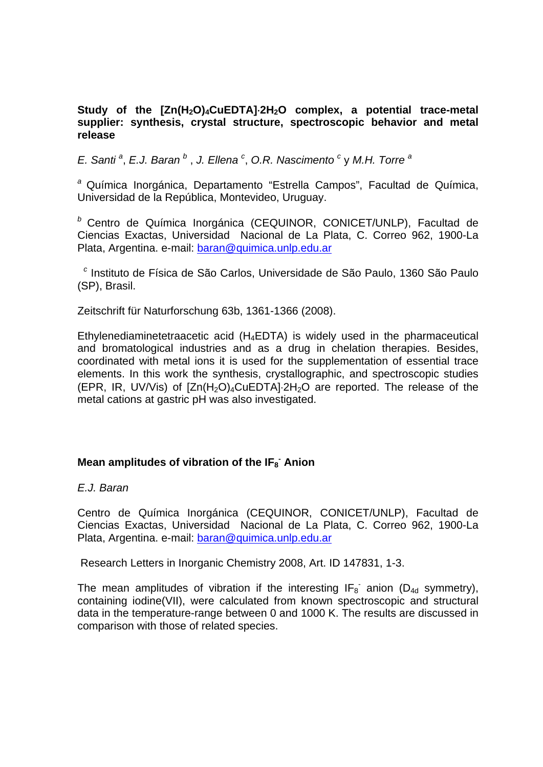# Study of the [Zn(H<sub>2</sub>O)<sub>4</sub>CuEDTA]<sup>2H<sub>2</sub>O complex, a potential trace-metal</sup> **supplier: synthesis, crystal structure, spectroscopic behavior and metal release**

*E.* Santi<sup>a</sup>, *E.J. Baran*<sup>b</sup>, *J. Ellena*<sup>c</sup>, O.R. Nascimento<sup>c</sup>y M.H. Torre<sup>a</sup>

*<sup>a</sup>* Química Inorgánica, Departamento "Estrella Campos", Facultad de Química, Universidad de la República, Montevideo, Uruguay.

*<sup>b</sup>* Centro de Química Inorgánica (CEQUINOR, CONICET/UNLP), Facultad de Ciencias Exactas, Universidad Nacional de La Plata, C. Correo 962, 1900-La Plata, Argentina. e-mail: baran@quimica.unlp.edu.ar

 *c* Instituto de Física de São Carlos, Universidade de São Paulo, 1360 São Paulo (SP), Brasil.

Zeitschrift für Naturforschung 63b, 1361-1366 (2008).

Ethylenediaminetetraacetic acid  $(H_4EDTA)$  is widely used in the pharmaceutical and bromatological industries and as a drug in chelation therapies. Besides, coordinated with metal ions it is used for the supplementation of essential trace elements. In this work the synthesis, crystallographic, and spectroscopic studies (EPR, IR, UV/Vis) of  $[Zn(H_2O)_4CUEDTA]$  2H<sub>2</sub>O are reported. The release of the metal cations at gastric pH was also investigated.

# Mean amplitudes of vibration of the IF<sub>8</sub><sup>-</sup> Anion

*E.J. Baran*

Centro de Química Inorgánica (CEQUINOR, CONICET/UNLP), Facultad de Ciencias Exactas, Universidad Nacional de La Plata, C. Correo 962, 1900-La Plata, Argentina. e-mail: baran@quimica.unlp.edu.ar

Research Letters in Inorganic Chemistry 2008, Art. ID 147831, 1-3.

The mean amplitudes of vibration if the interesting  $IF_8$  anion (D<sub>4d</sub> symmetry), containing iodine(VII), were calculated from known spectroscopic and structural data in the temperature-range between 0 and 1000 K. The results are discussed in comparison with those of related species.